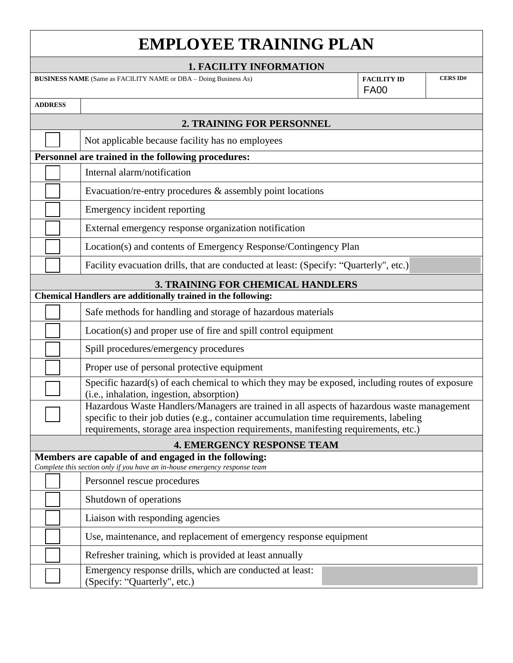| <b>EMPLOYEE TRAINING PLAN</b>                                                                                                      |  |  |                                                                                                                                                                                      |                                   |                 |  |
|------------------------------------------------------------------------------------------------------------------------------------|--|--|--------------------------------------------------------------------------------------------------------------------------------------------------------------------------------------|-----------------------------------|-----------------|--|
| <b>1. FACILITY INFORMATION</b>                                                                                                     |  |  |                                                                                                                                                                                      |                                   |                 |  |
|                                                                                                                                    |  |  | <b>BUSINESS NAME</b> (Same as FACILITY NAME or DBA - Doing Business As)                                                                                                              | <b>FACILITY ID</b><br><b>FA00</b> | <b>CERS ID#</b> |  |
| <b>ADDRESS</b>                                                                                                                     |  |  |                                                                                                                                                                                      |                                   |                 |  |
| 2. TRAINING FOR PERSONNEL                                                                                                          |  |  |                                                                                                                                                                                      |                                   |                 |  |
|                                                                                                                                    |  |  | Not applicable because facility has no employees                                                                                                                                     |                                   |                 |  |
| Personnel are trained in the following procedures:                                                                                 |  |  |                                                                                                                                                                                      |                                   |                 |  |
|                                                                                                                                    |  |  | Internal alarm/notification                                                                                                                                                          |                                   |                 |  |
|                                                                                                                                    |  |  | Evacuation/re-entry procedures $\&$ assembly point locations                                                                                                                         |                                   |                 |  |
|                                                                                                                                    |  |  | Emergency incident reporting                                                                                                                                                         |                                   |                 |  |
|                                                                                                                                    |  |  | External emergency response organization notification                                                                                                                                |                                   |                 |  |
|                                                                                                                                    |  |  | Location(s) and contents of Emergency Response/Contingency Plan                                                                                                                      |                                   |                 |  |
|                                                                                                                                    |  |  | Facility evacuation drills, that are conducted at least: (Specify: "Quarterly", etc.)                                                                                                |                                   |                 |  |
| <b>3. TRAINING FOR CHEMICAL HANDLERS</b>                                                                                           |  |  |                                                                                                                                                                                      |                                   |                 |  |
| Chemical Handlers are additionally trained in the following:                                                                       |  |  |                                                                                                                                                                                      |                                   |                 |  |
|                                                                                                                                    |  |  | Safe methods for handling and storage of hazardous materials                                                                                                                         |                                   |                 |  |
|                                                                                                                                    |  |  | Location(s) and proper use of fire and spill control equipment                                                                                                                       |                                   |                 |  |
|                                                                                                                                    |  |  | Spill procedures/emergency procedures                                                                                                                                                |                                   |                 |  |
|                                                                                                                                    |  |  | Proper use of personal protective equipment                                                                                                                                          |                                   |                 |  |
|                                                                                                                                    |  |  | Specific hazard(s) of each chemical to which they may be exposed, including routes of exposure<br>(i.e., inhalation, ingestion, absorption)                                          |                                   |                 |  |
|                                                                                                                                    |  |  | Hazardous Waste Handlers/Managers are trained in all aspects of hazardous waste management<br>specific to their job duties (e.g., container accumulation time requirements, labeling |                                   |                 |  |
|                                                                                                                                    |  |  | requirements, storage area inspection requirements, manifesting requirements, etc.)                                                                                                  |                                   |                 |  |
| <b>4. EMERGENCY RESPONSE TEAM</b>                                                                                                  |  |  |                                                                                                                                                                                      |                                   |                 |  |
| Members are capable of and engaged in the following:<br>Complete this section only if you have an in-house emergency response team |  |  |                                                                                                                                                                                      |                                   |                 |  |
|                                                                                                                                    |  |  | Personnel rescue procedures                                                                                                                                                          |                                   |                 |  |
|                                                                                                                                    |  |  | Shutdown of operations                                                                                                                                                               |                                   |                 |  |
|                                                                                                                                    |  |  | Liaison with responding agencies                                                                                                                                                     |                                   |                 |  |
|                                                                                                                                    |  |  | Use, maintenance, and replacement of emergency response equipment                                                                                                                    |                                   |                 |  |
|                                                                                                                                    |  |  | Refresher training, which is provided at least annually                                                                                                                              |                                   |                 |  |
|                                                                                                                                    |  |  | Emergency response drills, which are conducted at least:<br>(Specify: "Quarterly", etc.)                                                                                             |                                   |                 |  |